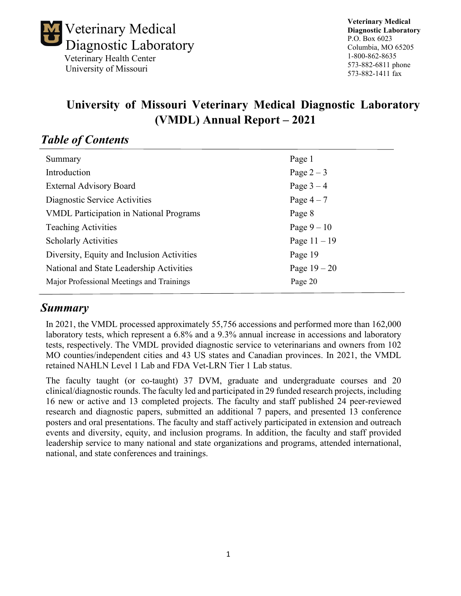

**Veterinary Medical Diagnostic Laboratory** P.O. Box 6023 Columbia, MO 65205 1-800-862-8635 573-882-6811 phone 573-882-1411 fax

# **University of Missouri Veterinary Medical Diagnostic Laboratory (VMDL) Annual Report – 2021**

# *Table of Contents*

| Summary                                        | Page 1         |
|------------------------------------------------|----------------|
| Introduction                                   | Page $2-3$     |
| <b>External Advisory Board</b>                 | Page $3-4$     |
| Diagnostic Service Activities                  | Page $4-7$     |
| <b>VMDL Participation in National Programs</b> | Page 8         |
| <b>Teaching Activities</b>                     | Page $9-10$    |
| <b>Scholarly Activities</b>                    | Page $11 - 19$ |
| Diversity, Equity and Inclusion Activities     | Page 19        |
| National and State Leadership Activities       | Page $19 - 20$ |
| Major Professional Meetings and Trainings      | Page 20        |
|                                                |                |

# *Summary*

In 2021, the VMDL processed approximately 55,756 accessions and performed more than 162,000 laboratory tests, which represent a 6.8% and a 9.3% annual increase in accessions and laboratory tests, respectively. The VMDL provided diagnostic service to veterinarians and owners from 102 MO counties/independent cities and 43 US states and Canadian provinces. In 2021, the VMDL retained NAHLN Level 1 Lab and FDA Vet-LRN Tier 1 Lab status.

The faculty taught (or co-taught) 37 DVM, graduate and undergraduate courses and 20 clinical/diagnostic rounds. The faculty led and participated in 29 funded research projects, including 16 new or active and 13 completed projects. The faculty and staff published 24 peer-reviewed research and diagnostic papers, submitted an additional 7 papers, and presented 13 conference posters and oral presentations. The faculty and staff actively participated in extension and outreach events and diversity, equity, and inclusion programs. In addition, the faculty and staff provided leadership service to many national and state organizations and programs, attended international, national, and state conferences and trainings.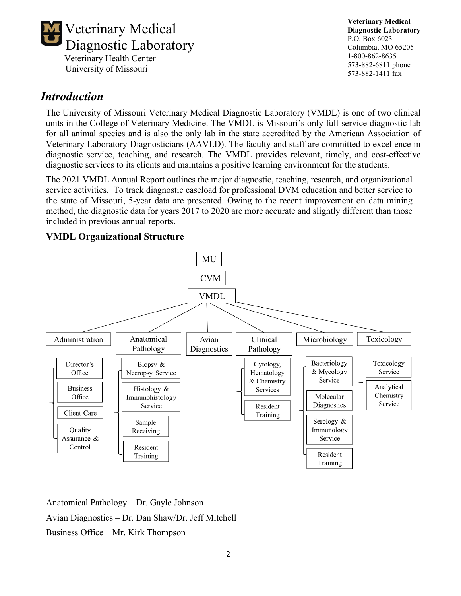

**Veterinary Medical Diagnostic Laboratory** P.O. Box 6023 Columbia, MO 65205 1-800-862-8635 573-882-6811 phone 573-882-1411 fax

# *Introduction*

The University of Missouri Veterinary Medical Diagnostic Laboratory (VMDL) is one of two clinical units in the College of Veterinary Medicine. The VMDL is Missouri's only full-service diagnostic lab for all animal species and is also the only lab in the state accredited by the American Association of Veterinary Laboratory Diagnosticians (AAVLD). The faculty and staff are committed to excellence in diagnostic service, teaching, and research. The VMDL provides relevant, timely, and cost-effective diagnostic services to its clients and maintains a positive learning environment for the students.

The 2021 VMDL Annual Report outlines the major diagnostic, teaching, research, and organizational service activities. To track diagnostic caseload for professional DVM education and better service to the state of Missouri, 5-year data are presented. Owing to the recent improvement on data mining method, the diagnostic data for years 2017 to 2020 are more accurate and slightly different than those included in previous annual reports.

#### **VMDL Organizational Structure**



Anatomical Pathology – Dr. Gayle Johnson Avian Diagnostics – Dr. Dan Shaw/Dr. Jeff Mitchell Business Office – Mr. Kirk Thompson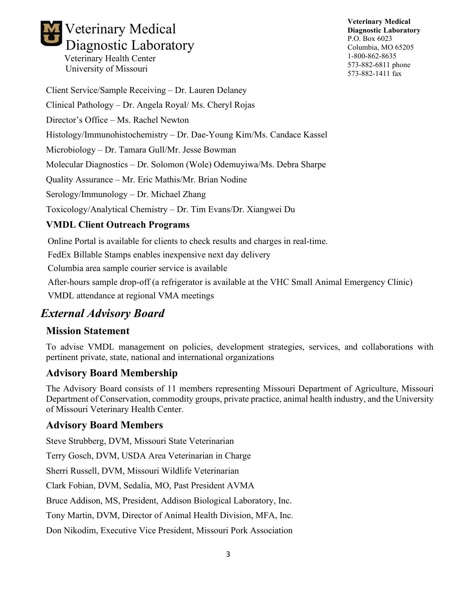# Veterinary Medical Diagnostic Laboratory Veterinary Health Center

University of Missouri

**Veterinary Medical Diagnostic Laboratory** P.O. Box 6023 Columbia, MO 65205 1-800-862-8635 573-882-6811 phone 573-882-1411 fax

Client Service/Sample Receiving – Dr. Lauren Delaney Clinical Pathology – Dr. Angela Royal/ Ms. Cheryl Rojas Director's Office – Ms. Rachel Newton Histology/Immunohistochemistry – Dr. Dae-Young Kim/Ms. Candace Kassel Microbiology – Dr. Tamara Gull/Mr. Jesse Bowman Molecular Diagnostics – Dr. Solomon (Wole) Odemuyiwa/Ms. Debra Sharpe Quality Assurance – Mr. Eric Mathis/Mr. Brian Nodine Serology/Immunology – Dr. Michael Zhang Toxicology/Analytical Chemistry – Dr. Tim Evans/Dr. Xiangwei Du **VMDL Client Outreach Programs**

Online Portal is available for clients to check results and charges in real-time.

FedEx Billable Stamps enables inexpensive next day delivery

Columbia area sample courier service is available

After-hours sample drop-off (a refrigerator is available at the VHC Small Animal Emergency Clinic)

VMDL attendance at regional VMA meetings

# *External Advisory Board*

### **Mission Statement**

To advise VMDL management on policies, development strategies, services, and collaborations with pertinent private, state, national and international organizations

## **Advisory Board Membership**

The Advisory Board consists of 11 members representing Missouri Department of Agriculture, Missouri Department of Conservation, commodity groups, private practice, animal health industry, and the University of Missouri Veterinary Health Center.

## **Advisory Board Members**

Steve Strubberg, DVM, Missouri State Veterinarian

Terry Gosch, DVM, USDA Area Veterinarian in Charge

Sherri Russell, DVM, Missouri Wildlife Veterinarian

Clark Fobian, DVM, Sedalia, MO, Past President AVMA

Bruce Addison, MS, President, Addison Biological Laboratory, Inc.

Tony Martin, DVM, Director of Animal Health Division, MFA, Inc.

Don Nikodim, Executive Vice President, Missouri Pork Association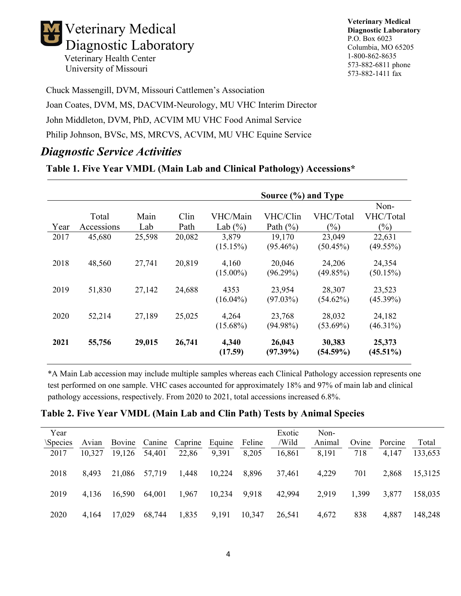

**Veterinary Medical Diagnostic Laboratory** P.O. Box 6023 Columbia, MO 65205 1-800-862-8635 573-882-6811 phone 573-882-1411 fax

Chuck Massengill, DVM, Missouri Cattlemen's Association

Joan Coates, DVM, MS, DACVIM-Neurology, MU VHC Interim Director John Middleton, DVM, PhD, ACVIM MU VHC Food Animal Service Philip Johnson, BVSc, MS, MRCVS, ACVIM, MU VHC Equine Service

# *Diagnostic Service Activities*

#### **Table 1. Five Year VMDL (Main Lab and Clinical Pathology) Accessions\***

|      |            |        |        |                      | Source (%) and Type   |                       |                       |
|------|------------|--------|--------|----------------------|-----------------------|-----------------------|-----------------------|
|      |            |        |        |                      |                       |                       | Non-                  |
|      | Total      | Main   | Clin   | VHC/Main             | VHC/Clin              | VHC/Total             | VHC/Total             |
| Year | Accessions | Lab    | Path   | Lab $(\% )$          | Path $(\%)$           | $(\%)$                | $(\%)$                |
| 2017 | 45,680     | 25,598 | 20,082 | 3,879                | 19,170                | 23,049                | 22,631                |
|      |            |        |        | (15.15%)             | $(95.46\%)$           | $(50.45\%)$           | $(49.55\%)$           |
| 2018 | 48,560     | 27,741 | 20,819 | 4,160<br>$(15.00\%)$ | 20,046<br>$(96.29\%)$ | 24,206<br>(49.85%)    | 24,354<br>$(50.15\%)$ |
| 2019 | 51,830     | 27,142 | 24,688 | 4353<br>$(16.04\%)$  | 23,954<br>$(97.03\%)$ | 28,307<br>$(54.62\%)$ | 23,523<br>$(45.39\%)$ |
| 2020 | 52,214     | 27,189 | 25,025 | 4,264<br>$(15.68\%)$ | 23,768<br>$(94.98\%)$ | 28,032<br>$(53.69\%)$ | 24,182<br>$(46.31\%)$ |
| 2021 | 55,756     | 29,015 | 26,741 | 4,340<br>(17.59)     | 26,043<br>$(97.39\%)$ | 30,383<br>$(54.59\%)$ | 25,373<br>$(45.51\%)$ |

\*A Main Lab accession may include multiple samples whereas each Clinical Pathology accession represents one test performed on one sample. VHC cases accounted for approximately 18% and 97% of main lab and clinical pathology accessions, respectively. From 2020 to 2021, total accessions increased 6.8%.

#### **Table 2. Five Year VMDL (Main Lab and Clin Path) Tests by Animal Species**

| Year           |        |        |               |         |        |        | Exotic | Non-   |       |         |         |
|----------------|--------|--------|---------------|---------|--------|--------|--------|--------|-------|---------|---------|
| <i>Species</i> | Avian  |        | Bovine Canine | Caprine | Equine | Feline | /Wild  | Animal | Ovine | Porcine | Total   |
| 2017           | 10,327 | 19,126 | 54,401        | 22,86   | 9,391  | 8,205  | 16,861 | 8,191  | 718   | 4,147   | 133,653 |
|                |        |        |               |         |        |        |        |        |       |         |         |
| 2018           | 8,493  | 21,086 | 57,719        | 1,448   | 10,224 | 8,896  | 37,461 | 4,229  | 701   | 2,868   | 15,3125 |
|                |        |        |               |         |        |        |        |        |       |         |         |
| 2019           | 4,136  | 16,590 | 64,001        | 1,967   | 10,234 | 9,918  | 42,994 | 2,919  | 1,399 | 3,877   | 158,035 |
|                |        |        |               |         |        |        |        |        |       |         |         |
| 2020           | 4,164  | 17,029 | 68,744        | 1,835   | 9,191  | 10,347 | 26,541 | 4,672  | 838   | 4,887   | 148,248 |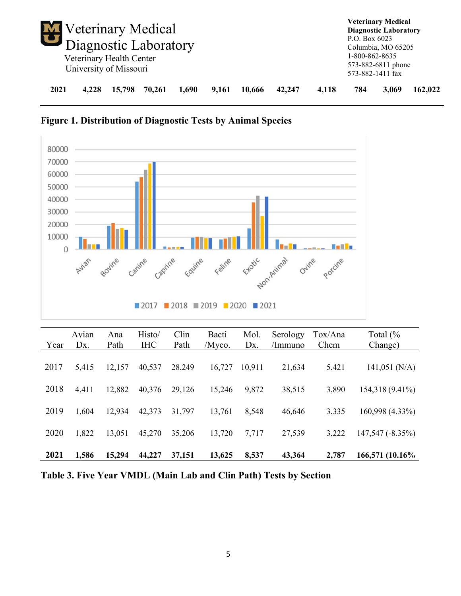| Veterinary Medical<br>Diagnostic Laboratory |       | Veterinary Health Center<br>University of Missouri |        |       |       |        |        |       | P.O. Box $6023$<br>1-800-862-8635 | <b>Veterinary Medical</b><br><b>Diagnostic Laboratory</b><br>Columbia, MO 65205<br>573-882-6811 phone<br>573-882-1411 fax |         |
|---------------------------------------------|-------|----------------------------------------------------|--------|-------|-------|--------|--------|-------|-----------------------------------|---------------------------------------------------------------------------------------------------------------------------|---------|
| 2021                                        | 4.228 | 15,798                                             | 70,261 | 1,690 | 9,161 | 10.666 | 42,247 | 4,118 | 784                               | 3,069                                                                                                                     | 162,022 |





| Year | Avian<br>D <sub>x</sub> . | Ana<br>Path | Histo/<br><b>IHC</b> | Clin<br>Path | Bacti<br>/Myco. | Mol.<br>Dx. | Serology<br>/Immuno | Tox/Ana<br>Chem | Total $\left(\frac{9}{6}\right)$<br>Change) |
|------|---------------------------|-------------|----------------------|--------------|-----------------|-------------|---------------------|-----------------|---------------------------------------------|
| 2017 | 5,415                     | 12,157      | 40,537               | 28,249       | 16,727          | 10,911      | 21,634              | 5,421           | $141,051$ (N/A)                             |
| 2018 | 4,411                     | 12,882      | 40,376               | 29,126       | 15,246          | 9,872       | 38,515              | 3,890           | 154,318 (9.41%)                             |
| 2019 | 1.604                     | 12,934      | 42,373               | 31,797       | 13,761          | 8,548       | 46,646              | 3,335           | 160,998 (4.33%)                             |
| 2020 | 1,822                     | 13,051      | 45,270               | 35,206       | 13,720          | 7,717       | 27,539              | 3,222           | 147,547 (-8.35%)                            |
| 2021 | 1,586                     | 15,294      | 44,227               | 37,151       | 13,625          | 8,537       | 43,364              | 2,787           | 166,571 (10.16%)                            |

**Table 3. Five Year VMDL (Main Lab and Clin Path) Tests by Section**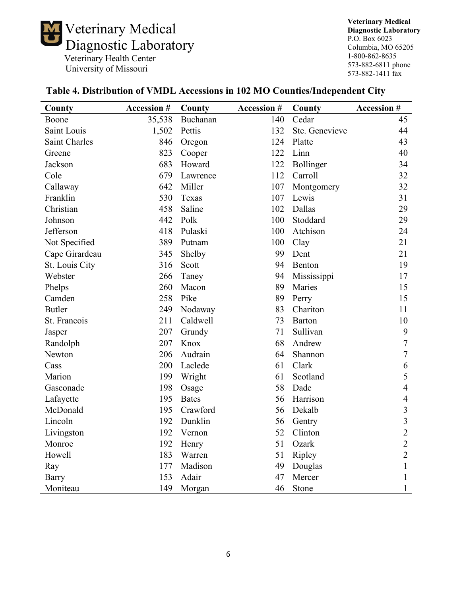

**Veterinary Medical Diagnostic Laboratory** P.O. Box 6023 Columbia, MO 65205 1-800-862-8635 573-882-6811 phone 573-882-1411 fax

| County         | <b>Accession #</b> | County       | <b>Accession #</b> | County         | <b>Accession #</b> |
|----------------|--------------------|--------------|--------------------|----------------|--------------------|
| Boone          | 35,538             | Buchanan     | 140                | Cedar          | 45                 |
| Saint Louis    | 1,502              | Pettis       | 132                | Ste. Genevieve | 44                 |
| Saint Charles  | 846                | Oregon       | 124                | Platte         | 43                 |
| Greene         | 823                | Cooper       | 122                | Linn           | 40                 |
| Jackson        | 683                | Howard       | 122                | Bollinger      | 34                 |
| Cole           | 679                | Lawrence     | 112                | Carroll        | 32                 |
| Callaway       | 642                | Miller       | 107                | Montgomery     | 32                 |
| Franklin       | 530                | Texas        | 107                | Lewis          | 31                 |
| Christian      | 458                | Saline       | 102                | Dallas         | 29                 |
| Johnson        | 442                | Polk         | 100                | Stoddard       | 29                 |
| Jefferson      | 418                | Pulaski      | 100                | Atchison       | 24                 |
| Not Specified  | 389                | Putnam       | 100                | Clay           | 21                 |
| Cape Girardeau | 345                | Shelby       | 99                 | Dent           | 21                 |
| St. Louis City | 316                | Scott        | 94                 | Benton         | 19                 |
| Webster        | 266                | Taney        | 94                 | Mississippi    | 17                 |
| Phelps         | 260                | Macon        | 89                 | Maries         | 15                 |
| Camden         | 258                | Pike         | 89                 | Perry          | 15                 |
| <b>Butler</b>  | 249                | Nodaway      | 83                 | Chariton       | 11                 |
| St. Francois   | 211                | Caldwell     | 73                 | Barton         | 10                 |
| Jasper         | 207                | Grundy       | 71                 | Sullivan       | $\boldsymbol{9}$   |
| Randolph       | 207                | Knox         | 68                 | Andrew         | $\overline{7}$     |
| Newton         | 206                | Audrain      | 64                 | Shannon        | $\overline{7}$     |
| Cass           | 200                | Laclede      | 61                 | Clark          | 6                  |
| Marion         | 199                | Wright       | 61                 | Scotland       | 5                  |
| Gasconade      | 198                | Osage        | 58                 | Dade           | $\overline{4}$     |
| Lafayette      | 195                | <b>Bates</b> | 56                 | Harrison       | $\overline{4}$     |
| McDonald       | 195                | Crawford     | 56                 | Dekalb         | $\overline{3}$     |
| Lincoln        | 192                | Dunklin      | 56                 | Gentry         | $\overline{3}$     |
| Livingston     | 192                | Vernon       | 52                 | Clinton        | $\overline{2}$     |
| Monroe         | 192                | Henry        | 51                 | Ozark          | $\overline{2}$     |
| Howell         | 183                | Warren       | 51                 | Ripley         | $\overline{2}$     |
| Ray            | 177                | Madison      | 49                 | Douglas        | $\mathbf{1}$       |
| <b>Barry</b>   | 153                | Adair        | 47                 | Mercer         | $\mathbf{1}$       |
| Moniteau       | 149                | Morgan       | 46                 | Stone          | $\mathbf{1}$       |

### **Table 4. Distribution of VMDL Accessions in 102 MO Counties/Independent City**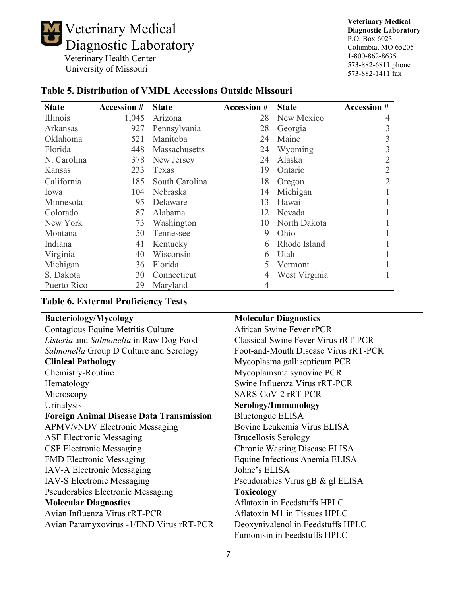

**Veterinary Medical Diagnostic Laboratory** P.O. Box 6023 Columbia, MO 65205 1-800-862-8635 573-882-6811 phone 573-882-1411 fax

| <b>State</b> | <b>Accession #</b> | <b>State</b>   | <b>Accession #</b> | <b>State</b>  | <b>Accession #</b> |
|--------------|--------------------|----------------|--------------------|---------------|--------------------|
| Illinois     | 1,045              | Arizona        | 28                 | New Mexico    | 4                  |
| Arkansas     | 927                | Pennsylvania   | 28                 | Georgia       |                    |
| Oklahoma     | 521                | Manitoba       | 24                 | Maine         |                    |
| Florida      | 448                | Massachusetts  | 24                 | Wyoming       | 3                  |
| N. Carolina  | 378                | New Jersey     | 24                 | Alaska        |                    |
| Kansas       | 233                | Texas          | 19                 | Ontario       |                    |
| California   | 185                | South Carolina | 18                 | Oregon        |                    |
| Iowa         | 104                | Nebraska       | 14                 | Michigan      |                    |
| Minnesota    | 95                 | Delaware       | 13                 | Hawaii        |                    |
| Colorado     | 87                 | Alabama        | 12                 | Nevada        |                    |
| New York     | 73                 | Washington     | 10                 | North Dakota  |                    |
| Montana      | 50                 | Tennessee      | 9                  | Ohio          |                    |
| Indiana      | 41                 | Kentucky       | 6                  | Rhode Island  |                    |
| Virginia     | 40                 | Wisconsin      | 6                  | Utah          |                    |
| Michigan     | 36                 | Florida        |                    | Vermont       |                    |
| S. Dakota    | 30                 | Connecticut    | 4                  | West Virginia |                    |
| Puerto Rico  | 29                 | Maryland       | 4                  |               |                    |

## **Table 5. Distribution of VMDL Accessions Outside Missouri**

### **Table 6. External Proficiency Tests**

| <b>Bacteriology/Mycology</b>                    | <b>Molecular Diagnostics</b>               |
|-------------------------------------------------|--------------------------------------------|
| Contagious Equine Metritis Culture              | African Swine Fever rPCR                   |
| Listeria and Salmonella in Raw Dog Food         | <b>Classical Swine Fever Virus rRT-PCR</b> |
| Salmonella Group D Culture and Serology         | Foot-and-Mouth Disease Virus rRT-PCR       |
| <b>Clinical Pathology</b>                       | Mycoplasma gallisepticum PCR               |
| Chemistry-Routine                               | Mycoplamsma synoviae PCR                   |
| Hematology                                      | Swine Influenza Virus rRT-PCR              |
| Microscopy                                      | SARS-CoV-2 rRT-PCR                         |
| Urinalysis                                      | Serology/Immunology                        |
| <b>Foreign Animal Disease Data Transmission</b> | <b>Bluetongue ELISA</b>                    |
| <b>APMV/vNDV Electronic Messaging</b>           | Bovine Leukemia Virus ELISA                |
| <b>ASF Electronic Messaging</b>                 | <b>Brucellosis Serology</b>                |
| <b>CSF Electronic Messaging</b>                 | Chronic Wasting Disease ELISA              |
| <b>FMD Electronic Messaging</b>                 | Equine Infectious Anemia ELISA             |
| IAV-A Electronic Messaging                      | Johne's ELISA                              |
| <b>IAV-S Electronic Messaging</b>               | Pseudorabies Virus gB & gl ELISA           |
| <b>Pseudorabies Electronic Messaging</b>        | <b>Toxicology</b>                          |
| <b>Molecular Diagnostics</b>                    | Aflatoxin in Feedstuffs HPLC               |
| Avian Influenza Virus rRT-PCR                   | Aflatoxin M1 in Tissues HPLC               |
| Avian Paramyxovirus -1/END Virus rRT-PCR        | Deoxynivalenol in Feedstuffs HPLC          |
|                                                 | Fumonisin in Feedstuffs HPLC               |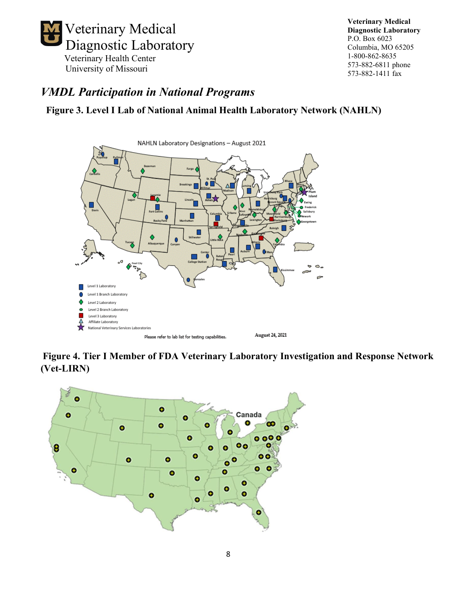

# *VMDL Participation in National Programs*

### **Figure 3. Level I Lab of National Animal Health Laboratory Network (NAHLN)**



**Figure 4. Tier I Member of FDA Veterinary Laboratory Investigation and Response Network (Vet-LIRN[\)](https://www.fda.gov/animal-veterinary/science-research/vet-lirn-laboratories)**

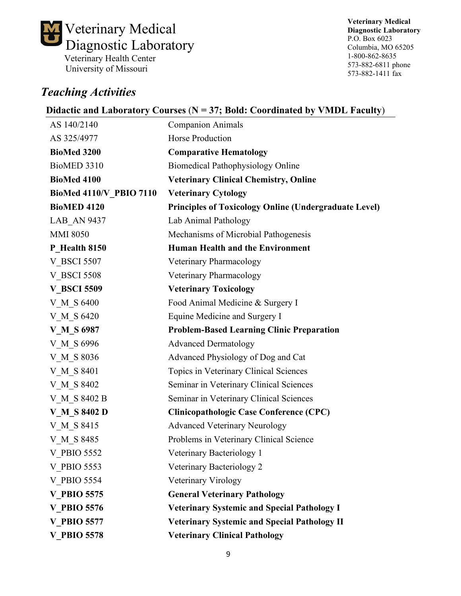

# *Teaching Activities*

**Veterinary Medical Diagnostic Laboratory** P.O. Box 6023 Columbia, MO 65205 1-800-862-8635 573-882-6811 phone 573-882-1411 fax

### **Didactic and Laboratory Courses** (**N = 37; Bold: Coordinated by VMDL Faculty**)

| AS 140/2140                | <b>Companion Animals</b>                                     |
|----------------------------|--------------------------------------------------------------|
| AS 325/4977                | Horse Production                                             |
| <b>BioMed 3200</b>         | <b>Comparative Hematology</b>                                |
| BioMED 3310                | <b>Biomedical Pathophysiology Online</b>                     |
| <b>BioMed 4100</b>         | <b>Veterinary Clinical Chemistry, Online</b>                 |
| BioMed 4110/V PBIO 7110    | <b>Veterinary Cytology</b>                                   |
| <b>BioMED 4120</b>         | <b>Principles of Toxicology Online (Undergraduate Level)</b> |
| <b>LAB AN 9437</b>         | Lab Animal Pathology                                         |
| <b>MMI 8050</b>            | Mechanisms of Microbial Pathogenesis                         |
| P Health 8150              | <b>Human Health and the Environment</b>                      |
| <b>V BSCI 5507</b>         | Veterinary Pharmacology                                      |
| <b>V BSCI 5508</b>         | Veterinary Pharmacology                                      |
| <b>V BSCI 5509</b>         | <b>Veterinary Toxicology</b>                                 |
| V M S 6400                 | Food Animal Medicine & Surgery I                             |
| V M S 6420                 | Equine Medicine and Surgery I                                |
| <b>V M S</b> 6987          | <b>Problem-Based Learning Clinic Preparation</b>             |
| V M S 6996                 | <b>Advanced Dermatology</b>                                  |
| V M S 8036                 | Advanced Physiology of Dog and Cat                           |
| V M S 8401                 | Topics in Veterinary Clinical Sciences                       |
| V M S 8402                 | Seminar in Veterinary Clinical Sciences                      |
| V M S 8402 B               | Seminar in Veterinary Clinical Sciences                      |
| <b>V M S</b> 8402 <b>D</b> | <b>Clinicopathologic Case Conference (CPC)</b>               |
| V M S 8415                 | <b>Advanced Veterinary Neurology</b>                         |
| V M S 8485                 | Problems in Veterinary Clinical Science                      |
| <b>V PBIO 5552</b>         | Veterinary Bacteriology 1                                    |
| V PBIO 5553                | Veterinary Bacteriology 2                                    |
| V PBIO 5554                | Veterinary Virology                                          |
| <b>V PBIO 5575</b>         | <b>General Veterinary Pathology</b>                          |
| <b>V PBIO 5576</b>         | <b>Veterinary Systemic and Special Pathology I</b>           |
| <b>V PBIO 5577</b>         | <b>Veterinary Systemic and Special Pathology II</b>          |
| <b>V PBIO 5578</b>         | <b>Veterinary Clinical Pathology</b>                         |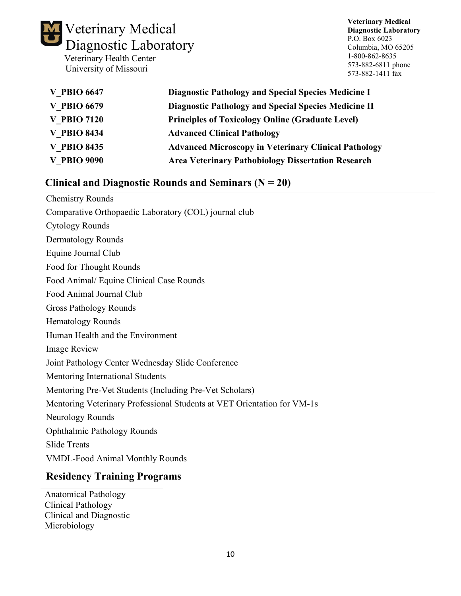

**Veterinary Medical Diagnostic Laboratory** P.O. Box 6023 Columbia, MO 65205 1-800-862-8635 573-882-6811 phone 573-882-1411 fax

| <b>V PBIO 6647</b> | Diagnostic Pathology and Special Species Medicine I         |
|--------------------|-------------------------------------------------------------|
| <b>V PBIO 6679</b> | <b>Diagnostic Pathology and Special Species Medicine II</b> |
| <b>V PBIO 7120</b> | <b>Principles of Toxicology Online (Graduate Level)</b>     |
| <b>V PBIO 8434</b> | <b>Advanced Clinical Pathology</b>                          |
| <b>V PBIO 8435</b> | <b>Advanced Microscopy in Veterinary Clinical Pathology</b> |
| <b>V PBIO 9090</b> | <b>Area Veterinary Pathobiology Dissertation Research</b>   |

### **Clinical and Diagnostic Rounds and Seminars (N = 20)**

| <b>Chemistry Rounds</b>                                                 |
|-------------------------------------------------------------------------|
| Comparative Orthopaedic Laboratory (COL) journal club                   |
| <b>Cytology Rounds</b>                                                  |
| Dermatology Rounds                                                      |
| Equine Journal Club                                                     |
| Food for Thought Rounds                                                 |
| Food Animal/ Equine Clinical Case Rounds                                |
| Food Animal Journal Club                                                |
| <b>Gross Pathology Rounds</b>                                           |
| <b>Hematology Rounds</b>                                                |
| Human Health and the Environment                                        |
| <b>Image Review</b>                                                     |
| Joint Pathology Center Wednesday Slide Conference                       |
| Mentoring International Students                                        |
| Mentoring Pre-Vet Students (Including Pre-Vet Scholars)                 |
| Mentoring Veterinary Professional Students at VET Orientation for VM-1s |
| Neurology Rounds                                                        |
| <b>Ophthalmic Pathology Rounds</b>                                      |
| <b>Slide Treats</b>                                                     |
| <b>VMDL-Food Animal Monthly Rounds</b>                                  |

## **Residency Training Programs**

Anatomical Pathology Clinical Pathology Clinical and Diagnostic Microbiology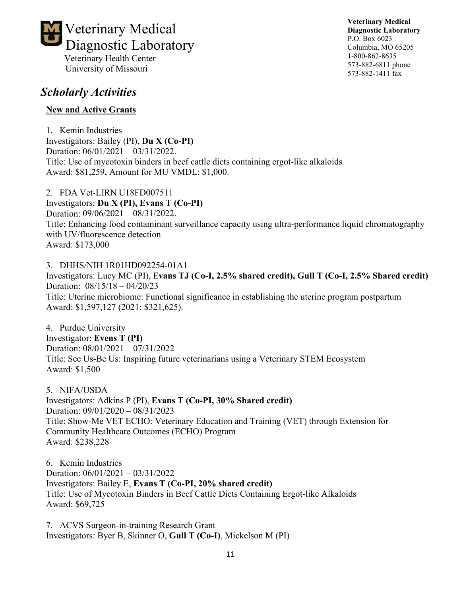

**Veterinary Medical Diagnostic Laboratory** P.O. Box 6023 Columbia, MO 65205 1-800-862-8635 573-882-6811 phone 573-882-1411 fax

# *Scholarly Activities*

### **New and Active Grants**

1. Kemin Industries Investigators: Bailey (PI), **Du X (Co-PI)** Duration: 06/01/2021 – 03/31/2022. Title: Use of mycotoxin binders in beef cattle diets containing ergot-like alkaloids Award: \$81,259, Amount for MU VMDL: \$1,000.

2. FDA Vet-LIRN U18FD007511 Investigators: **Du X (PI), Evans T (Co-PI)** Duration: 09/06/2021 – 08/31/2022. Title: Enhancing food contaminant surveillance capacity using ultra-performance liquid chromatography with UV/fluorescence detection Award: \$173,000

3. DHHS/NIH 1R01HD092254-01A1 Investigators: Lucy MC (PI), E**vans TJ (Co-I, 2.5% shared credit), Gull T (Co-I, 2.5% Shared credit)** Duration: 08/15/18 – 04/20/23 Title: Uterine microbiome: Functional significance in establishing the uterine program postpartum Award: \$1,597,127 (2021: \$321,625).

4. Purdue University Investigator: **Evens T (PI)** Duration: 08/01/2021 – 07/31/2022 Title: See Us-Be Us: Inspiring future veterinarians using a Veterinary STEM Ecosystem Award: \$1,500

5. NIFA/USDA

Investigators: Adkins P (PI), **Evans T (Co-PI, 30% Shared credit)** Duration: 09/01/2020 – 08/31/2023 Title: Show-Me VET ECHO: Veterinary Education and Training (VET) through Extension for Community Healthcare Outcomes (ECHO) Program Award: \$238,228

6. Kemin Industries Duration: 06/01/2021 – 03/31/2022 Investigators: Bailey E, **Evans T (Co-PI, 20% shared credit)** Title: Use of Mycotoxin Binders in Beef Cattle Diets Containing Ergot-like Alkaloids Award: \$69,725

7. ACVS Surgeon-in-training Research Grant Investigators: Byer B, Skinner O, **Gull T (Co-I)**, Mickelson M (PI)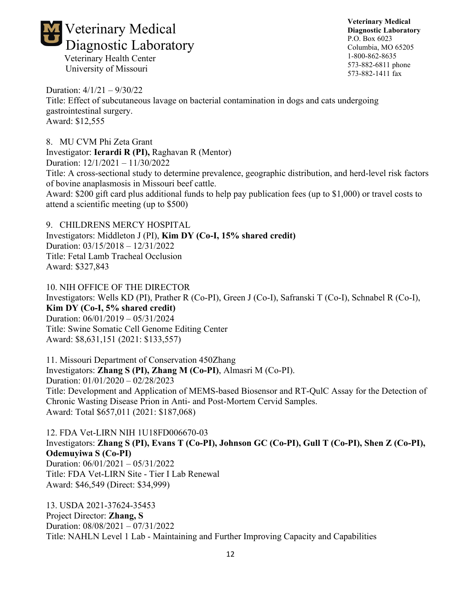

**Veterinary Medical Diagnostic Laboratory** P.O. Box 6023 Columbia, MO 65205 1-800-862-8635 573-882-6811 phone 573-882-1411 fax

Duration: 4/1/21 – 9/30/22 Title: Effect of subcutaneous lavage on bacterial contamination in dogs and cats undergoing gastrointestinal surgery. Award: \$12,555

8. MU CVM Phi Zeta Grant Investigator: **Ierardi R (PI),** Raghavan R (Mentor) Duration: 12/1/2021 – 11/30/2022 Title: A cross-sectional study to determine prevalence, geographic distribution, and herd-level risk factors of bovine anaplasmosis in Missouri beef cattle. Award: \$200 gift card plus additional funds to help pay publication fees (up to \$1,000) or travel costs to attend a scientific meeting (up to \$500)

9. CHILDRENS MERCY HOSPITAL Investigators: Middleton J (PI), **Kim DY (Co-I, 15% shared credit)** Duration: 03/15/2018 – 12/31/2022 Title: Fetal Lamb Tracheal Occlusion Award: \$327,843

10. NIH OFFICE OF THE DIRECTOR Investigators: Wells KD (PI), Prather R (Co-PI), Green J (Co-I), Safranski T (Co-I), Schnabel R (Co-I), **Kim DY (Co-I, 5% shared credit)** Duration: 06/01/2019 – 05/31/2024 Title: Swine Somatic Cell Genome Editing Center Award: \$8,631,151 (2021: \$133,557)

11. Missouri Department of Conservation 450Zhang Investigators: **Zhang S (PI), Zhang M (Co-PI)**, Almasri M (Co-PI). Duration: 01/01/2020 – 02/28/2023 Title: Development and Application of MEMS-based Biosensor and RT-QulC Assay for the Detection of Chronic Wasting Disease Prion in Anti- and Post-Mortem Cervid Samples. Award: Total \$657,011 (2021: \$187,068)

12. FDA Vet-LIRN NIH 1U18FD006670-03 Investigators: **Zhang S (PI), Evans T (Co-PI), Johnson GC (Co-PI), Gull T (Co-PI), Shen Z (Co-PI), Odemuyiwa S (Co-PI)** Duration: 06/01/2021 – 05/31/2022 Title: FDA Vet-LIRN Site - Tier I Lab Renewal Award: \$46,549 (Direct: \$34,999)

13. USDA 2021-37624-35453 Project Director: **Zhang, S** Duration: 08/08/2021 – 07/31/2022 Title: NAHLN Level 1 Lab - Maintaining and Further Improving Capacity and Capabilities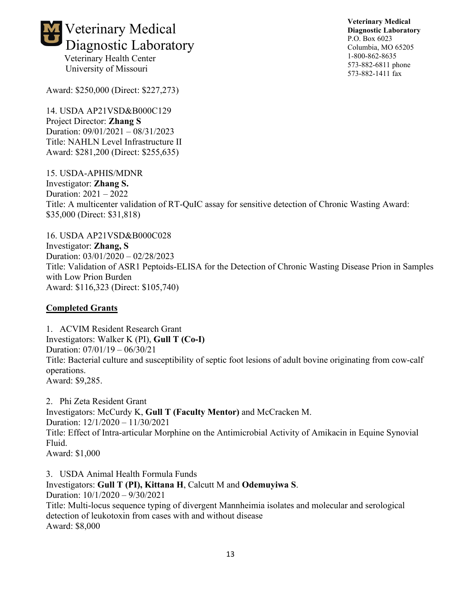

**Veterinary Medical Diagnostic Laboratory** P.O. Box 6023 Columbia, MO 65205 1-800-862-8635 573-882-6811 phone 573-882-1411 fax

Award: \$250,000 (Direct: \$227,273)

14. USDA AP21VSD&B000C129 Project Director: **Zhang S** Duration: 09/01/2021 – 08/31/2023 Title: NAHLN Level Infrastructure II Award: \$281,200 (Direct: \$255,635)

15. USDA-APHIS/MDNR Investigator: **Zhang S.** Duration: 2021 – 2022 Title: A multicenter validation of RT-QuIC assay for sensitive detection of Chronic Wasting Award: \$35,000 (Direct: \$31,818)

16. USDA AP21VSD&B000C028 Investigator: **Zhang, S** Duration: 03/01/2020 – 02/28/2023 Title: Validation of ASR1 Peptoids-ELISA for the Detection of Chronic Wasting Disease Prion in Samples with Low Prion Burden Award: \$116,323 (Direct: \$105,740)

#### **Completed Grants**

1. ACVIM Resident Research Grant Investigators: Walker K (PI), **Gull T (Co-I)** Duration: 07/01/19 – 06/30/21 Title: Bacterial culture and susceptibility of septic foot lesions of adult bovine originating from cow-calf operations. Award: \$9,285.

2. Phi Zeta Resident Grant Investigators: McCurdy K, **Gull T (Faculty Mentor)** and McCracken M. Duration: 12/1/2020 – 11/30/2021 Title: Effect of Intra-articular Morphine on the Antimicrobial Activity of Amikacin in Equine Synovial Fluid. Award: \$1,000

3. USDA Animal Health Formula Funds Investigators: **Gull T (PI), Kittana H**, Calcutt M and **Odemuyiwa S**. Duration: 10/1/2020 – 9/30/2021 Title: Multi-locus sequence typing of divergent Mannheimia isolates and molecular and serological detection of leukotoxin from cases with and without disease Award: \$8,000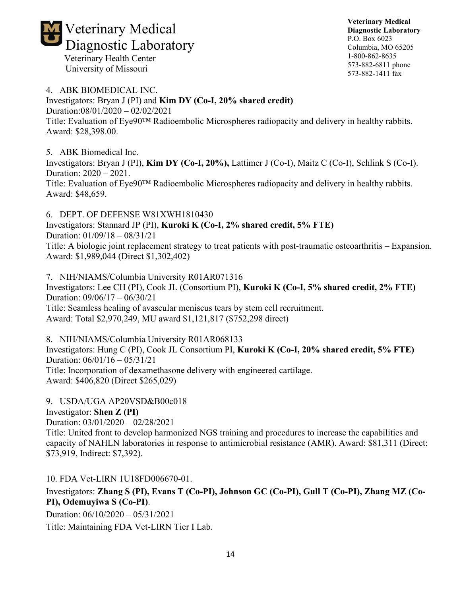

**Veterinary Medical Diagnostic Laboratory** P.O. Box 6023 Columbia, MO 65205 1-800-862-8635 573-882-6811 phone 573-882-1411 fax

4. ABK BIOMEDICAL INC. Investigators: Bryan J (PI) and **Kim DY (Co-I, 20% shared credit)** Duration:08/01/2020 – 02/02/2021 Title: Evaluation of Eye90™ Radioembolic Microspheres radiopacity and delivery in healthy rabbits. Award: \$28,398.00.

5. ABK Biomedical Inc.

Investigators: Bryan J (PI), **Kim DY (Co-I, 20%),** Lattimer J (Co-I), Maitz C (Co-I), Schlink S (Co-I). Duration: 2020 – 2021. Title: Evaluation of Eye90™ Radioembolic Microspheres radiopacity and delivery in healthy rabbits. Award: \$48,659.

6. DEPT. OF DEFENSE W81XWH1810430 Investigators: Stannard JP (PI), **Kuroki K (Co-I, 2% shared credit, 5% FTE)**

Duration: 01/09/18 – 08/31/21

Title: A biologic joint replacement strategy to treat patients with post-traumatic osteoarthritis – Expansion. Award: \$1,989,044 (Direct \$1,302,402)

7. NIH/NIAMS/Columbia University R01AR071316 Investigators: Lee CH (PI), Cook JL (Consortium PI), **Kuroki K (Co-I, 5% shared credit, 2% FTE)** Duration: 09/06/17 – 06/30/21 Title: Seamless healing of avascular meniscus tears by stem cell recruitment. Award: Total \$2,970,249, MU award \$1,121,817 (\$752,298 direct)

8. NIH/NIAMS/Columbia University R01AR068133 Investigators: Hung C (PI), Cook JL Consortium PI, **Kuroki K (Co-I, 20% shared credit, 5% FTE)** Duration: 06/01/16 – 05/31/21 Title: Incorporation of dexamethasone delivery with engineered cartilage. Award: \$406,820 (Direct \$265,029)

9. USDA/UGA AP20VSD&B00c018 Investigator: **Shen Z (PI)** Duration: 03/01/2020 – 02/28/2021 Title: United front to develop harmonized NGS training and procedures to increase the capabilities and capacity of NAHLN laboratories in response to antimicrobial resistance (AMR). Award: \$81,311 (Direct: \$73,919, Indirect: \$7,392).

10. FDA Vet-LIRN 1U18FD006670-01.

Investigators: **Zhang S (PI), Evans T (Co-PI), Johnson GC (Co-PI), Gull T (Co-PI), Zhang MZ (Co-PI), Odemuyiwa S (Co-PI)**.

Duration: 06/10/2020 – 05/31/2021

Title: Maintaining FDA Vet-LIRN Tier I Lab.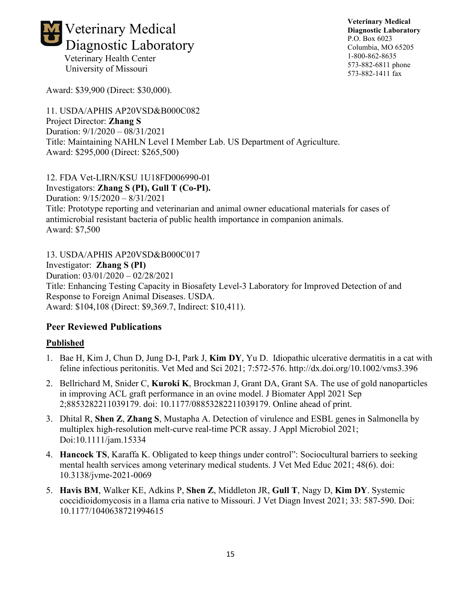

University of Missouri

Award: \$39,900 (Direct: \$30,000).

11. USDA/APHIS AP20VSD&B000C082 Project Director: **Zhang S**  Duration: 9/1/2020 – 08/31/2021 Title: Maintaining NAHLN Level I Member Lab. US Department of Agriculture. Award: \$295,000 (Direct: \$265,500)

12. FDA Vet-LIRN/KSU 1U18FD006990-01

Investigators: **Zhang S (PI), Gull T (Co-PI).** Duration: 9/15/2020 – 8/31/2021 Title: Prototype reporting and veterinarian and animal owner educational materials for cases of antimicrobial resistant bacteria of public health importance in companion animals. Award: \$7,500

13. USDA/APHIS AP20VSD&B000C017 Investigator: **Zhang S (PI)** Duration: 03/01/2020 – 02/28/2021 Title: Enhancing Testing Capacity in Biosafety Level-3 Laboratory for Improved Detection of and Response to Foreign Animal Diseases. USDA. Award: \$104,108 (Direct: \$9,369.7, Indirect: \$10,411).

## **Peer Reviewed Publications**

### **Published**

- 1. Bae H, Kim J, Chun D, Jung D-I, Park J, **Kim DY**, Yu D. Idiopathic ulcerative dermatitis in a cat with feline infectious peritonitis. Vet Med and Sci 2021; 7:572-576. http://dx.doi.org/10.1002/vms3.396
- 2. Bellrichard M, Snider C, **Kuroki K**, Brockman J, Grant DA, Grant SA. The use of gold nanoparticles in improving ACL graft performance in an ovine model. J Biomater Appl 2021 Sep 2;8853282211039179. doi: 10.1177/08853282211039179. Online ahead of print.
- 3. Dhital R, **Shen Z**, **Zhang S**, Mustapha A. Detection of virulence and ESBL genes in Salmonella by multiplex high-resolution melt-curve real-time PCR assay. J Appl Microbiol 2021; Doi:10.1111/jam.15334
- 4. **Hancock TS**, Karaffa K. Obligated to keep things under control": Sociocultural barriers to seeking mental health services among veterinary medical students. J Vet Med Educ 2021; 48(6). doi: 10.3138/jvme-2021-0069
- 5. **Havis BM**, Walker KE, Adkins P, **Shen Z**, Middleton JR, **Gull T**, Nagy D, **Kim DY**. Systemic coccidioidomycosis in a llama cria native to Missouri. J Vet Diagn Invest 2021; 33: 587-590. Doi: 10.1177/1040638721994615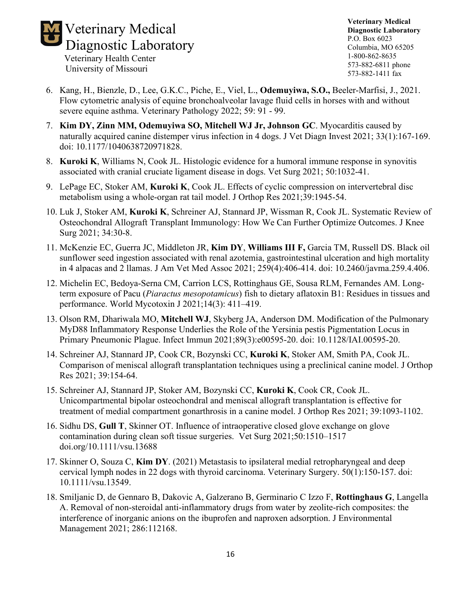

- University of Missouri
- 6. Kang, H., Bienzle, D., Lee, G.K.C., Piche, E., Viel, L., **Odemuyiwa, S.O.,** Beeler-Marfisi, J., 2021. Flow cytometric analysis of equine bronchoalveolar lavage fluid cells in horses with and without severe equine asthma. Veterinary Pathology 2022; 59: 91 - 99.
- 7. **Kim DY, Zinn MM, Odemuyiwa SO, Mitchell WJ Jr, Johnson GC**. Myocarditis caused by naturally acquired canine distemper virus infection in 4 dogs. J Vet Diagn Invest 2021; 33(1):167-169. doi: 10.1177/1040638720971828.
- 8. **Kuroki K**, Williams N, Cook JL. Histologic evidence for a humoral immune response in synovitis associated with cranial cruciate ligament disease in dogs. Vet Surg 2021; 50:1032-41.
- 9. LePage EC, Stoker AM, **Kuroki K**, Cook JL. Effects of cyclic compression on intervertebral disc metabolism using a whole-organ rat tail model. J Orthop Res 2021;39:1945-54.
- 10. Luk J, Stoker AM, **Kuroki K**, Schreiner AJ, Stannard JP, Wissman R, Cook JL. Systematic Review of Osteochondral Allograft Transplant Immunology: How We Can Further Optimize Outcomes. J Knee Surg 2021; 34:30-8.
- 11. McKenzie EC, Guerra JC, Middleton JR, **Kim DY**, **Williams III F,** Garcia TM, Russell DS. Black oil sunflower seed ingestion associated with renal azotemia, gastrointestinal ulceration and high mortality in 4 alpacas and 2 llamas. J Am Vet Med Assoc 2021; 259(4):406-414. doi: 10.2460/javma.259.4.406.
- 12. Michelin EC, Bedoya-Serna CM, Carrion LCS, Rottinghaus GE, Sousa RLM, Fernandes AM. Longterm exposure of Pacu (*Piaractus mesopotamicus*) fish to dietary aflatoxin B1: Residues in tissues and performance. World Mycotoxin J 2021;14(3): 411–419.
- 13. Olson RM, Dhariwala MO, **Mitchell WJ**, Skyberg JA, Anderson DM. Modification of the Pulmonary MyD88 Inflammatory Response Underlies the Role of the Yersinia pestis Pigmentation Locus in Primary Pneumonic Plague. Infect Immun 2021;89(3):e00595-20. doi: 10.1128/IAI.00595-20.
- 14. Schreiner AJ, Stannard JP, Cook CR, Bozynski CC, **Kuroki K**, Stoker AM, Smith PA, Cook JL. Comparison of meniscal allograft transplantation techniques using a preclinical canine model. J Orthop Res 2021; 39:154-64.
- 15. Schreiner AJ, Stannard JP, Stoker AM, Bozynski CC, **Kuroki K**, Cook CR, Cook JL. Unicompartmental bipolar osteochondral and meniscal allograft transplantation is effective for treatment of medial compartment gonarthrosis in a canine model. J Orthop Res 2021; 39:1093-1102.
- 16. Sidhu DS, **Gull T**, Skinner OT. Influence of intraoperative closed glove exchange on glove contamination during clean soft tissue surgeries. Vet Surg 2021;50:1510–1517 doi.org/10.1111/vsu.13688
- 17. Skinner O, Souza C, **Kim DY**. (2021) Metastasis to ipsilateral medial retropharyngeal and deep cervical lymph nodes in 22 dogs with thyroid carcinoma. Veterinary Surgery. 50(1):150-157. doi: 10.1111/vsu.13549.
- 18. Smiljanic D, de Gennaro B, Dakovic A, Galzerano B, Germinario C Izzo F, **Rottinghaus G**, Langella A. Removal of non-steroidal anti-inflammatory drugs from water by zeolite-rich composites: the interference of inorganic anions on the ibuprofen and naproxen adsorption. J Environmental Management 2021; 286:112168.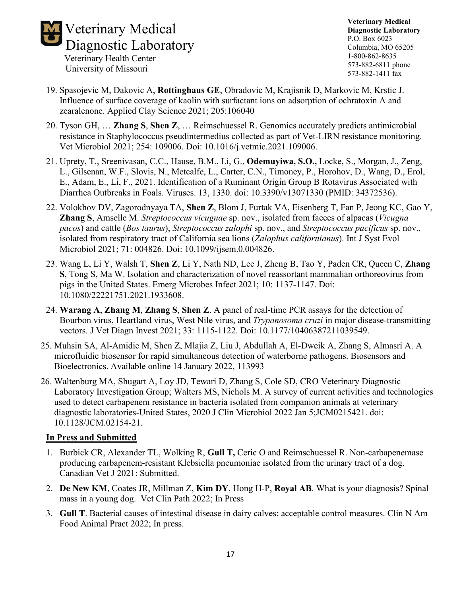

- University of Missouri
- 19. Spasojevic M, Dakovic A, **Rottinghaus GE**, Obradovic M, Krajisnik D, Markovic M, Krstic J. Influence of surface coverage of kaolin with surfactant ions on adsorption of ochratoxin A and zearalenone. Applied Clay Science 2021; 205:106040
- 20. Tyson GH, … **Zhang S**, **Shen Z**, … Reimschuessel R. Genomics accurately predicts antimicrobial resistance in Staphylococcus pseudintermedius collected as part of Vet-LIRN resistance monitoring. Vet Microbiol 2021; 254: 109006. Doi: 10.1016/j.vetmic.2021.109006.
- 21. Uprety, T., Sreenivasan, C.C., Hause, B.M., Li, G., **Odemuyiwa, S.O.,** Locke, S., Morgan, J., Zeng, L., Gilsenan, W.F., Slovis, N., Metcalfe, L., Carter, C.N., Timoney, P., Horohov, D., Wang, D., Erol, E., Adam, E., Li, F., 2021. Identification of a Ruminant Origin Group B Rotavirus Associated with Diarrhea Outbreaks in Foals. Viruses. 13, 1330. doi: 10.3390/v13071330 (PMID: 34372536).
- 22. Volokhov DV, Zagorodnyaya TA, **Shen Z**, Blom J, Furtak VA, Eisenberg T, Fan P, Jeong KC, Gao Y, **Zhang S**, Amselle M. *Streptococcus vicugnae* sp. nov., isolated from faeces of alpacas (*Vicugna pacos*) and cattle (*Bos taurus*), *Streptococcus zalophi* sp. nov., and *Streptococcus pacificus* sp. nov., isolated from respiratory tract of California sea lions (*Zalophus californianus*). Int J Syst Evol Microbiol 2021; 71: 004826. Doi: 10.1099/ijsem.0.004826.
- 23. Wang L, Li Y, Walsh T, **Shen Z**, Li Y, Nath ND, Lee J, Zheng B, Tao Y, Paden CR, Queen C, **Zhang S**, Tong S, Ma W. Isolation and characterization of novel reassortant mammalian orthoreovirus from pigs in the United States. Emerg Microbes Infect 2021; 10: 1137-1147. Doi: 10.1080/22221751.2021.1933608.
- 24. **Warang A**, **Zhang M**, **Zhang S**, **Shen Z**. A panel of real-time PCR assays for the detection of Bourbon virus, Heartland virus, West Nile virus, and *Trypanosoma cruzi* in major disease-transmitting vectors. J Vet Diagn Invest 2021; 33: 1115-1122. Doi: 10.1177/10406387211039549.
- 25. Muhsin SA, Al-Amidie M, Shen Z, Mlajia Z, Liu J, Abdullah A, El-Dweik A, Zhang S, Almasri A. A microfluidic biosensor for rapid simultaneous detection of waterborne pathogens. Biosensors and Bioelectronics. Available online 14 January 2022, 113993
- 26. Waltenburg MA, Shugart A, Loy JD, Tewari D, Zhang S, Cole SD, CRO Veterinary Diagnostic Laboratory Investigation Group; Walters MS, Nichols M. A survey of current activities and technologies used to detect carbapenem resistance in bacteria isolated from companion animals at veterinary diagnostic laboratories-United States, 2020 J Clin Microbiol 2022 Jan 5;JCM0215421. doi: 10.1128/JCM.02154-21.

#### **In Press and Submitted**

- 1. Burbick CR, Alexander TL, Wolking R, **Gull T,** Ceric O and Reimschuessel R. Non-carbapenemase producing carbapenem-resistant Klebsiella pneumoniae isolated from the urinary tract of a dog. Canadian Vet J 2021: Submitted.
- 2. **De New KM**, Coates JR, Millman Z, **Kim DY**, Hong H-P, **Royal AB**. What is your diagnosis? Spinal mass in a young dog. Vet Clin Path 2022; In Press
- 3. **Gull T**. Bacterial causes of intestinal disease in dairy calves: acceptable control measures. Clin N Am Food Animal Pract 2022; In press.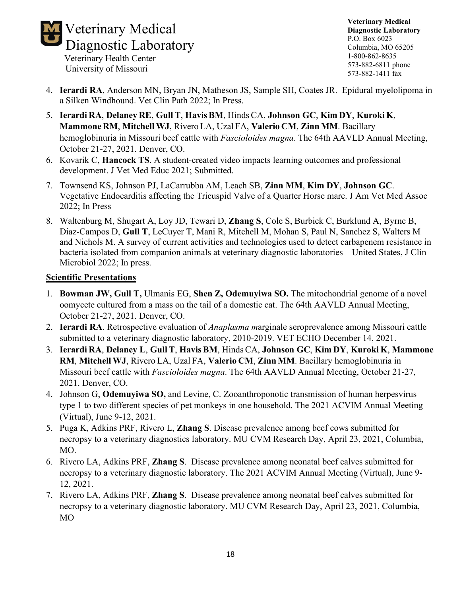

- University of Missouri
- 4. **Ierardi RA**, Anderson MN, Bryan JN, Matheson JS, Sample SH, Coates JR. Epidural myelolipoma in a Silken Windhound. Vet Clin Path 2022; In Press.
- 5. **Ierardi RA**, **Delaney RE**, **GullT**, **HavisBM**, Hinds CA, **Johnson GC**, **Kim DY**, **Kuroki K**, **Mammone RM**, **Mitchell WJ**, Rivero LA, Uzal FA, **Valerio CM**, **ZinnMM**. Bacillary hemoglobinuria in Missouri beef cattle with *Fascioloides magna*. The 64th AAVLD Annual Meeting, October 21-27, 2021. Denver, CO.
- 6. Kovarik C, **Hancock TS**. A student-created video impacts learning outcomes and professional development. J Vet Med Educ 2021; Submitted.
- 7. Townsend KS, Johnson PJ, LaCarrubba AM, Leach SB, **Zinn MM**, **Kim DY**, **Johnson GC**. Vegetative Endocarditis affecting the Tricuspid Valve of a Quarter Horse mare. J Am Vet Med Assoc 2022; In Press
- 8. Waltenburg M, Shugart A, Loy JD, Tewari D, **Zhang S**, Cole S, Burbick C, Burklund A, Byrne B, Diaz-Campos D, **Gull T**, LeCuyer T, Mani R, Mitchell M, Mohan S, Paul N, Sanchez S, Walters M and Nichols M. A survey of current activities and technologies used to detect carbapenem resistance in bacteria isolated from companion animals at veterinary diagnostic laboratories—United States, J Clin Microbiol 2022; In press.

#### **Scientific Presentations**

- 1. **Bowman JW, Gull T,** Ulmanis EG, **Shen Z, Odemuyiwa SO.** The mitochondrial genome of a novel oomycete cultured from a mass on the tail of a domestic cat. The 64th AAVLD Annual Meeting, October 21-27, 2021. Denver, CO.
- 2. **Ierardi RA**. Retrospective evaluation of *Anaplasma m*arginale seroprevalence among Missouri cattle submitted to a veterinary diagnostic laboratory, 2010-2019. VET ECHO December 14, 2021.
- 3. **Ierardi RA**, **Delaney L**, **GullT**, **HavisBM**, Hinds CA, **Johnson GC**, **Kim DY**, **Kuroki K**, **Mammone RM**, **Mitchell WJ**, Rivero LA, Uzal FA, **Valerio CM**, **ZinnMM**. Bacillary hemoglobinuria in Missouri beef cattle with *Fascioloides magna*. The 64th AAVLD Annual Meeting, October 21-27, 2021. Denver, CO.
- 4. Johnson G, **Odemuyiwa SO,** and Levine, C. Zooanthroponotic transmission of human herpesvirus type 1 to two different species of pet monkeys in one household. The 2021 ACVIM Annual Meeting (Virtual), June 9-12, 2021.
- 5. Puga K, Adkins PRF, Rivero L, **Zhang S**. Disease prevalence among beef cows submitted for necropsy to a veterinary diagnostics laboratory. MU CVM Research Day, April 23, 2021, Columbia, MO.
- 6. Rivero LA, Adkins PRF, **Zhang S**. Disease prevalence among neonatal beef calves submitted for necropsy to a veterinary diagnostic laboratory. The 2021 ACVIM Annual Meeting (Virtual), June 9- 12, 2021.
- 7. Rivero LA, Adkins PRF, **Zhang S**. Disease prevalence among neonatal beef calves submitted for necropsy to a veterinary diagnostic laboratory. MU CVM Research Day, April 23, 2021, Columbia, MO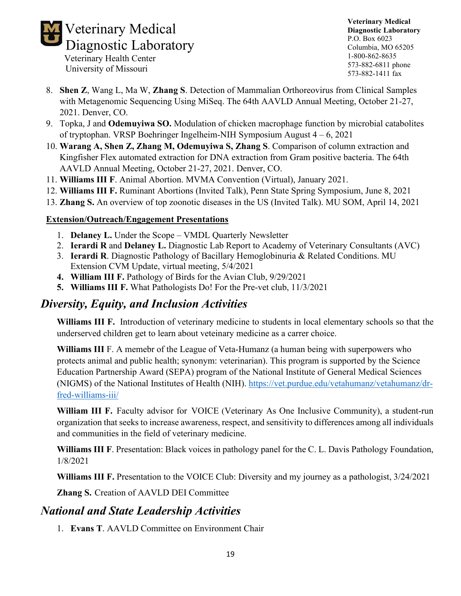

- University of Missouri
- 8. **Shen Z**, Wang L, Ma W, **Zhang S**. Detection of Mammalian Orthoreovirus from Clinical Samples with Metagenomic Sequencing Using MiSeq. The 64th AAVLD Annual Meeting, October 21-27, 2021. Denver, CO.
- 9. Topka, J and **Odemuyiwa SO.** Modulation of chicken macrophage function by microbial catabolites of tryptophan. VRSP Boehringer Ingelheim-NIH Symposium August 4 – 6, 2021
- 10. **Warang A, Shen Z, Zhang M, Odemuyiwa S, Zhang S**. Comparison of column extraction and Kingfisher Flex automated extraction for DNA extraction from Gram positive bacteria. The 64th AAVLD Annual Meeting, October 21-27, 2021. Denver, CO.
- 11. **Williams III F**. Animal Abortion. MVMA Convention (Virtual), January 2021.
- 12. **Williams III F.** Ruminant Abortions (Invited Talk), Penn State Spring Symposium, June 8, 2021
- 13. **Zhang S.** An overview of top zoonotic diseases in the US (Invited Talk). MU SOM, April 14, 2021

### **Extension/Outreach/Engagement Presentations**

- 1. **Delaney L.** Under the Scope VMDL Quarterly Newsletter
- 2. **Ierardi R** and **Delaney L.** Diagnostic Lab Report to Academy of Veterinary Consultants (AVC)
- 3. **Ierardi R**. Diagnostic Pathology of Bacillary Hemoglobinuria & Related Conditions. MU Extension CVM Update, virtual meeting, 5/4/2021
- **4. William III F.** Pathology of Birds for the Avian Club,  $9/29/2021$
- **5. Williams III F.** What Pathologists Do! For the Pre-vet club, 11/3/2021

# *Diversity, Equity, and Inclusion Activities*

**Williams III F.** Introduction of veterinary medicine to students in local elementary schools so that the underserved children get to learn about veteinary medicine as a carrer choice.

**Williams III** F. A memebr of the League of Veta-Humanz (a human being with superpowers who protects animal and public health; synonym: veterinarian). This program is supported by the Science Education Partnership Award (SEPA) program of the National Institute of General Medical Sciences (NIGMS) of the National Institutes of Health (NIH). [https://vet.purdue.edu/vetahumanz/vetahumanz/dr](https://vet.purdue.edu/vetahumanz/vetahumanz/dr-fred-williams-iii/)[fred-williams-iii/](https://vet.purdue.edu/vetahumanz/vetahumanz/dr-fred-williams-iii/)

**William III F.** Faculty advisor for VOICE (Veterinary As One Inclusive Community), a student-run organization that seeks to increase awareness, respect, and sensitivity to differences among all individuals and communities in the field of veterinary medicine.

**Williams III F**. Presentation: Black voices in pathology panel for the C. L. Davis Pathology Foundation, 1/8/2021

**Williams III F.** Presentation to the VOICE Club: Diversity and my journey as a pathologist, 3/24/2021

**Zhang S.** Creation of AAVLD DEI Committee

# *National and State Leadership Activities*

1. **Evans T**. AAVLD Committee on Environment Chair